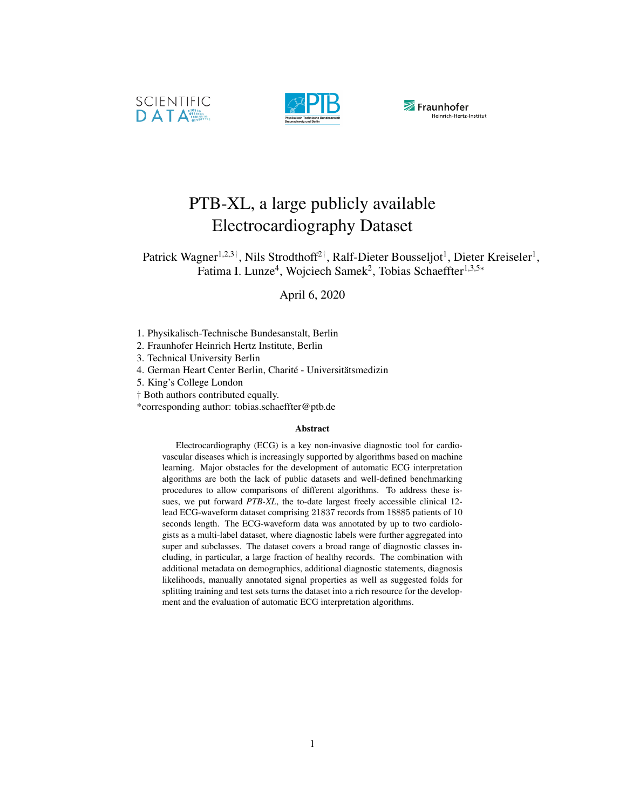





# PTB-XL, a large publicly available Electrocardiography Dataset

Patrick Wagner<sup>1,2,3†</sup>, Nils Strodthoff<sup>2†</sup>, Ralf-Dieter Bousseljot<sup>1</sup>, Dieter Kreiseler<sup>1</sup>, Fatima I. Lunze<sup>4</sup>, Wojciech Samek<sup>2</sup>, Tobias Schaeffter<sup>1,3,5∗</sup>

April 6, 2020

- 1. Physikalisch-Technische Bundesanstalt, Berlin
- 2. Fraunhofer Heinrich Hertz Institute, Berlin
- 3. Technical University Berlin
- 4. German Heart Center Berlin, Charité Universitätsmedizin
- 5. King's College London
- † Both authors contributed equally.
- \*corresponding author: tobias.schaeffter@ptb.de

#### Abstract

Electrocardiography (ECG) is a key non-invasive diagnostic tool for cardiovascular diseases which is increasingly supported by algorithms based on machine learning. Major obstacles for the development of automatic ECG interpretation algorithms are both the lack of public datasets and well-defined benchmarking procedures to allow comparisons of different algorithms. To address these issues, we put forward *PTB-XL*, the to-date largest freely accessible clinical 12 lead ECG-waveform dataset comprising 21837 records from 18885 patients of 10 seconds length. The ECG-waveform data was annotated by up to two cardiologists as a multi-label dataset, where diagnostic labels were further aggregated into super and subclasses. The dataset covers a broad range of diagnostic classes including, in particular, a large fraction of healthy records. The combination with additional metadata on demographics, additional diagnostic statements, diagnosis likelihoods, manually annotated signal properties as well as suggested folds for splitting training and test sets turns the dataset into a rich resource for the development and the evaluation of automatic ECG interpretation algorithms.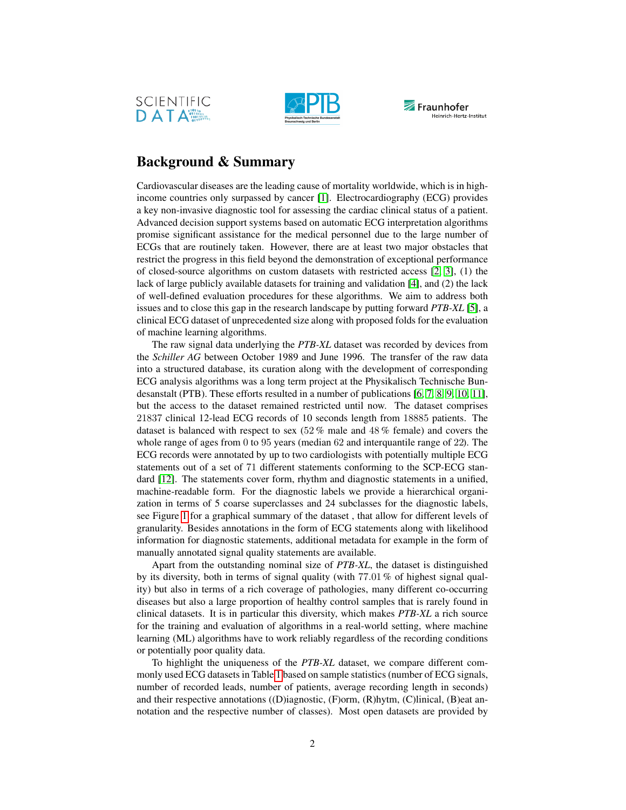





## Background & Summary

Cardiovascular diseases are the leading cause of mortality worldwide, which is in highincome countries only surpassed by cancer [\[1\]](#page-16-0). Electrocardiography (ECG) provides a key non-invasive diagnostic tool for assessing the cardiac clinical status of a patient. Advanced decision support systems based on automatic ECG interpretation algorithms promise significant assistance for the medical personnel due to the large number of ECGs that are routinely taken. However, there are at least two major obstacles that restrict the progress in this field beyond the demonstration of exceptional performance of closed-source algorithms on custom datasets with restricted access  $[2, 3]$  $[2, 3]$ ,  $(1)$  the lack of large publicly available datasets for training and validation [\[4\]](#page-22-1), and (2) the lack of well-defined evaluation procedures for these algorithms. We aim to address both issues and to close this gap in the research landscape by putting forward *PTB-XL* [\[5\]](#page-22-2), a clinical ECG dataset of unprecedented size along with proposed folds for the evaluation of machine learning algorithms.

The raw signal data underlying the *PTB-XL* dataset was recorded by devices from the *Schiller AG* between October 1989 and June 1996. The transfer of the raw data into a structured database, its curation along with the development of corresponding ECG analysis algorithms was a long term project at the Physikalisch Technische Bundesanstalt (PTB). These efforts resulted in a number of publications [\[6,](#page-22-3) [7,](#page-22-4) [8,](#page-22-5) [9,](#page-22-6) [10,](#page-22-7) [11\]](#page-22-8), but the access to the dataset remained restricted until now. The dataset comprises 21837 clinical 12-lead ECG records of 10 seconds length from 18885 patients. The dataset is balanced with respect to sex (52 % male and 48 % female) and covers the whole range of ages from 0 to 95 years (median 62 and interquantile range of 22). The ECG records were annotated by up to two cardiologists with potentially multiple ECG statements out of a set of 71 different statements conforming to the SCP-ECG standard [\[12\]](#page-22-9). The statements cover form, rhythm and diagnostic statements in a unified, machine-readable form. For the diagnostic labels we provide a hierarchical organization in terms of 5 coarse superclasses and 24 subclasses for the diagnostic labels, see Figure [1](#page-2-0) for a graphical summary of the dataset , that allow for different levels of granularity. Besides annotations in the form of ECG statements along with likelihood information for diagnostic statements, additional metadata for example in the form of manually annotated signal quality statements are available.

Apart from the outstanding nominal size of *PTB-XL*, the dataset is distinguished by its diversity, both in terms of signal quality (with 77.01 % of highest signal quality) but also in terms of a rich coverage of pathologies, many different co-occurring diseases but also a large proportion of healthy control samples that is rarely found in clinical datasets. It is in particular this diversity, which makes *PTB-XL* a rich source for the training and evaluation of algorithms in a real-world setting, where machine learning (ML) algorithms have to work reliably regardless of the recording conditions or potentially poor quality data.

To highlight the uniqueness of the *PTB-XL* dataset, we compare different commonly used ECG datasets in Table [1](#page-3-0) based on sample statistics (number of ECG signals, number of recorded leads, number of patients, average recording length in seconds) and their respective annotations ((D)iagnostic, (F)orm, (R)hytm, (C)linical, (B)eat annotation and the respective number of classes). Most open datasets are provided by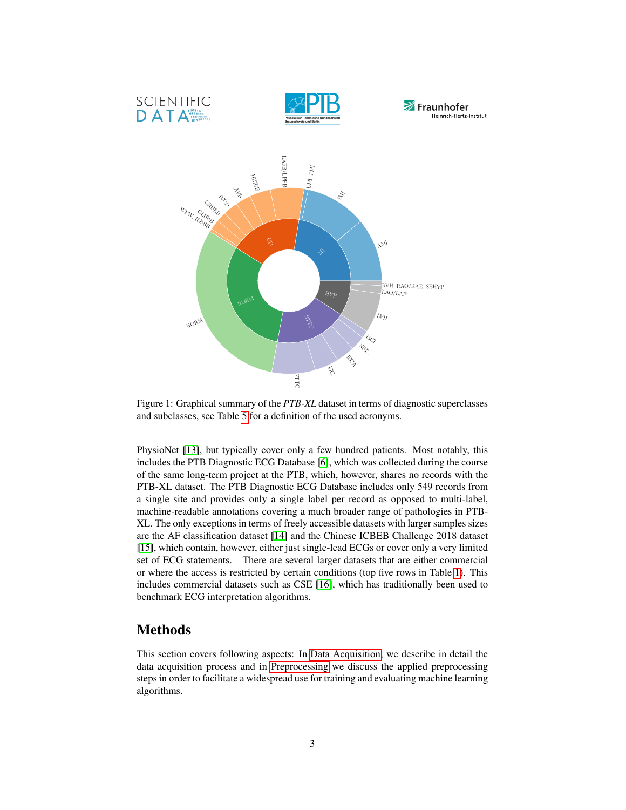<span id="page-2-0"></span>

Figure 1: Graphical summary of the *PTB-XL* dataset in terms of diagnostic superclasses and subclasses, see Table [5](#page-17-0) for a definition of the used acronyms.

PhysioNet [\[13\]](#page-22-10), but typically cover only a few hundred patients. Most notably, this includes the PTB Diagnostic ECG Database [\[6\]](#page-22-3), which was collected during the course of the same long-term project at the PTB, which, however, shares no records with the PTB-XL dataset. The PTB Diagnostic ECG Database includes only 549 records from a single site and provides only a single label per record as opposed to multi-label, machine-readable annotations covering a much broader range of pathologies in PTB-XL. The only exceptions in terms of freely accessible datasets with larger samples sizes are the AF classification dataset [\[14\]](#page-22-11) and the Chinese ICBEB Challenge 2018 dataset [\[15\]](#page-22-12), which contain, however, either just single-lead ECGs or cover only a very limited set of ECG statements. There are several larger datasets that are either commercial or where the access is restricted by certain conditions (top five rows in Table [1\)](#page-3-0). This includes commercial datasets such as CSE [\[16\]](#page-22-13), which has traditionally been used to benchmark ECG interpretation algorithms.

## <span id="page-2-1"></span>Methods

This section covers following aspects: In [Data Acquisition,](#page-3-1) we describe in detail the data acquisition process and in [Preprocessing](#page-4-0) we discuss the applied preprocessing steps in order to facilitate a widespread use for training and evaluating machine learning algorithms.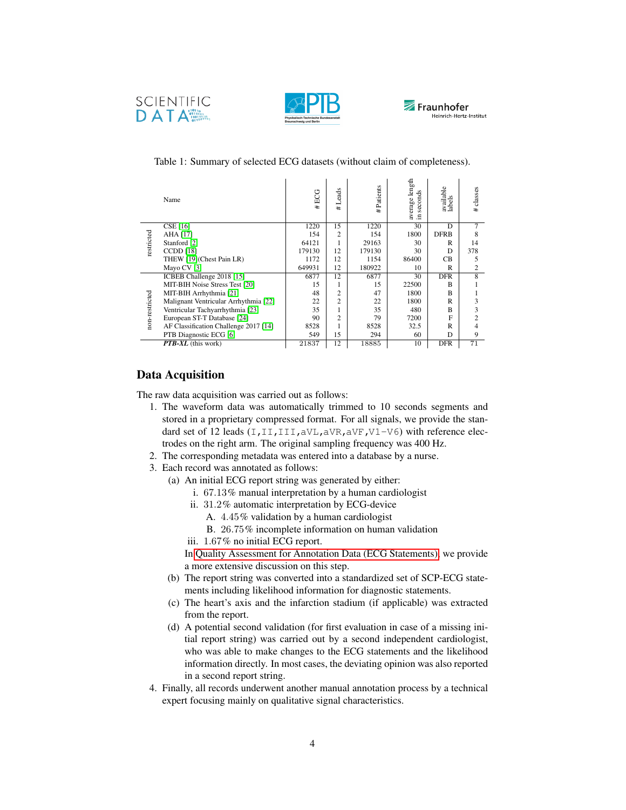





|                | Name                                  | #ECG   | ads<br>ë<br>⊣<br>#E | Patients<br>±. | average length<br>٠g<br>secono<br>Ξ. | available<br>labels | classes<br>±.  |
|----------------|---------------------------------------|--------|---------------------|----------------|--------------------------------------|---------------------|----------------|
|                | <b>CSE</b> [16]                       | 1220   | 15                  | 1220           | 30                                   | D                   | 7              |
| restricted     | AHA [17]                              | 154    | $\overline{c}$      | 154            | 1800                                 | <b>DFRB</b>         | 8              |
|                | Stanford [2]                          | 64121  |                     | 29163          | 30                                   | R                   | 14             |
|                | <b>CCDD</b> [18]                      | 179130 | 12                  | 179130         | 30                                   | D                   | 378            |
|                | THEW [19](Chest Pain LR)              | 1172   | 12                  | 1154           | 86400                                | C <sub>B</sub>      | 5              |
|                | Mayo CV [3]                           | 649931 | 12                  | 180922         | 10                                   | R                   | $\overline{c}$ |
|                | ICBEB Challenge 2018 [15]             | 6877   | 12                  | 6877           | 30                                   | <b>DFR</b>          | $\overline{8}$ |
|                | MIT-BIH Noise Stress Test [20]        | 15     | 1                   | 15             | 22500                                | B                   |                |
|                | MIT-BIH Arrhythmia [21]               | 48     | $\overline{c}$      | 47             | 1800                                 | B                   |                |
|                | Malignant Ventricular Arrhythmia [22] | 22     | $\mathfrak{D}$      | 22             | 1800                                 | R                   | 3              |
|                | Ventricular Tachyarrhythmia [23]      | 35     |                     | 35             | 480                                  | B                   | 3              |
| non-restricted | European ST-T Database [24]           | 90     | $\overline{c}$      | 79             | 7200                                 | F                   | $\overline{c}$ |
|                | AF Classification Challenge 2017 [14] | 8528   |                     | 8528           | 32.5                                 | R                   | 4              |
|                | PTB Diagnostic ECG [6]                | 549    | 15                  | 294            | 60                                   | D                   | 9              |
|                | <b>PTB-XL</b> (this work)             | 21837  | 12                  | 18885          | 10                                   | <b>DFR</b>          | 71             |

#### <span id="page-3-0"></span>Table 1: Summary of selected ECG datasets (without claim of completeness).

### <span id="page-3-1"></span>Data Acquisition

The raw data acquisition was carried out as follows:

- 1. The waveform data was automatically trimmed to 10 seconds segments and stored in a proprietary compressed format. For all signals, we provide the standard set of 12 leads  $(I,II,III,AVL,AVR,AVF,V1-V6)$  with reference electrodes on the right arm. The original sampling frequency was 400 Hz.
- 2. The corresponding metadata was entered into a database by a nurse.
- 3. Each record was annotated as follows:
	- (a) An initial ECG report string was generated by either:
		- i. 67.13% manual interpretation by a human cardiologist
		- ii. 31.2% automatic interpretation by ECG-device
			- A. 4.45% validation by a human cardiologist
			- B. 26.75% incomplete information on human validation
		- iii. 1.67% no initial ECG report.

In [Quality Assessment for Annotation Data \(ECG Statements\),](#page-11-0) we provide a more extensive discussion on this step.

- (b) The report string was converted into a standardized set of SCP-ECG statements including likelihood information for diagnostic statements.
- (c) The heart's axis and the infarction stadium (if applicable) was extracted from the report.
- (d) A potential second validation (for first evaluation in case of a missing initial report string) was carried out by a second independent cardiologist, who was able to make changes to the ECG statements and the likelihood information directly. In most cases, the deviating opinion was also reported in a second report string.
- 4. Finally, all records underwent another manual annotation process by a technical expert focusing mainly on qualitative signal characteristics.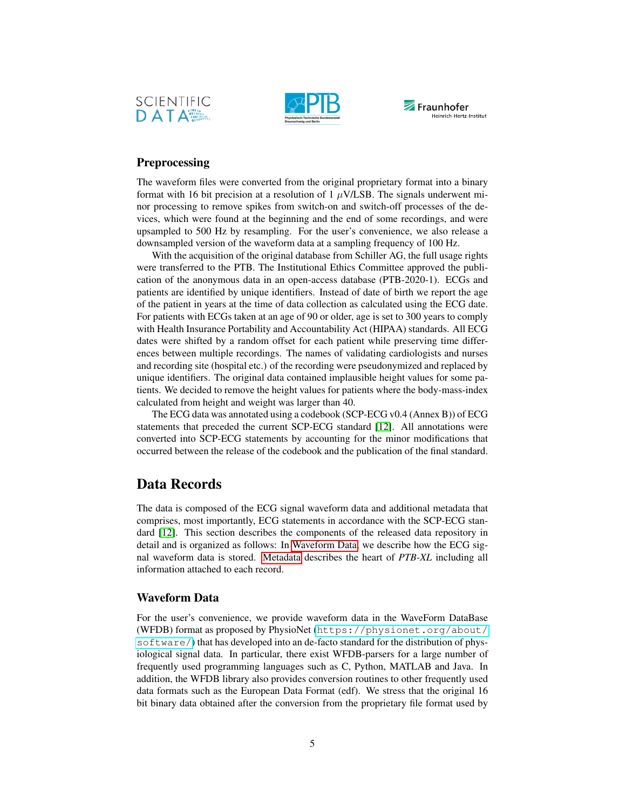





## <span id="page-4-0"></span>Preprocessing

The waveform files were converted from the original proprietary format into a binary format with 16 bit precision at a resolution of 1  $\mu$ V/LSB. The signals underwent minor processing to remove spikes from switch-on and switch-off processes of the devices, which were found at the beginning and the end of some recordings, and were upsampled to 500 Hz by resampling. For the user's convenience, we also release a downsampled version of the waveform data at a sampling frequency of 100 Hz.

With the acquisition of the original database from Schiller AG, the full usage rights were transferred to the PTB. The Institutional Ethics Committee approved the publication of the anonymous data in an open-access database (PTB-2020-1). ECGs and patients are identified by unique identifiers. Instead of date of birth we report the age of the patient in years at the time of data collection as calculated using the ECG date. For patients with ECGs taken at an age of 90 or older, age is set to 300 years to comply with Health Insurance Portability and Accountability Act (HIPAA) standards. All ECG dates were shifted by a random offset for each patient while preserving time differences between multiple recordings. The names of validating cardiologists and nurses and recording site (hospital etc.) of the recording were pseudonymized and replaced by unique identifiers. The original data contained implausible height values for some patients. We decided to remove the height values for patients where the body-mass-index calculated from height and weight was larger than 40.

The ECG data was annotated using a codebook (SCP-ECG v0.4 (Annex B)) of ECG statements that preceded the current SCP-ECG standard [\[12\]](#page-22-9). All annotations were converted into SCP-ECG statements by accounting for the minor modifications that occurred between the release of the codebook and the publication of the final standard.

## Data Records

The data is composed of the ECG signal waveform data and additional metadata that comprises, most importantly, ECG statements in accordance with the SCP-ECG standard [\[12\]](#page-22-9). This section describes the components of the released data repository in detail and is organized as follows: In [Waveform Data,](#page-4-1) we describe how the ECG signal waveform data is stored. [Metadata](#page-5-0) describes the heart of *PTB-XL* including all information attached to each record.

#### <span id="page-4-1"></span>Waveform Data

For the user's convenience, we provide waveform data in the WaveForm DataBase (WFDB) format as proposed by PhysioNet ([https://physionet.org/about/](https://physionet.org/about/software/) [software/](https://physionet.org/about/software/)) that has developed into an de-facto standard for the distribution of physiological signal data. In particular, there exist WFDB-parsers for a large number of frequently used programming languages such as C, Python, MATLAB and Java. In addition, the WFDB library also provides conversion routines to other frequently used data formats such as the European Data Format (edf). We stress that the original 16 bit binary data obtained after the conversion from the proprietary file format used by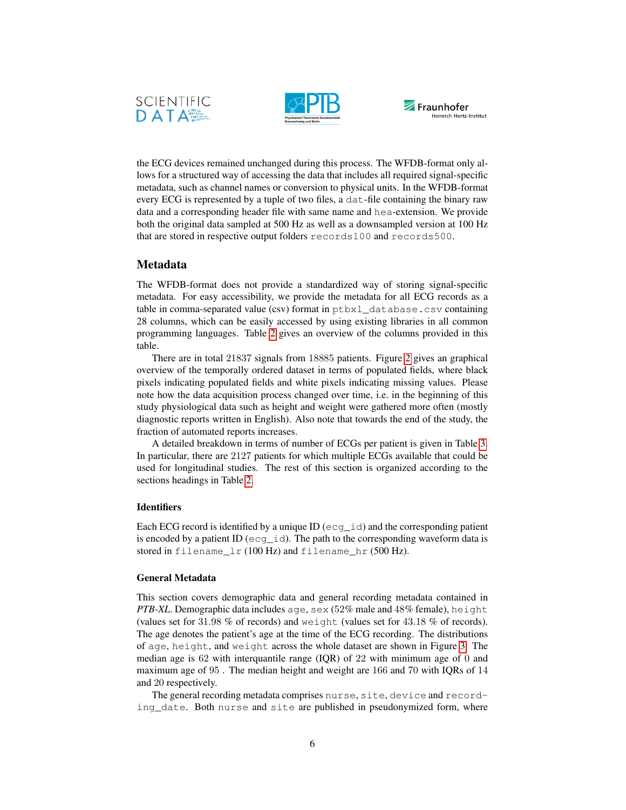





the ECG devices remained unchanged during this process. The WFDB-format only allows for a structured way of accessing the data that includes all required signal-specific metadata, such as channel names or conversion to physical units. In the WFDB-format every ECG is represented by a tuple of two files, a dat-file containing the binary raw data and a corresponding header file with same name and hea-extension. We provide both the original data sampled at 500 Hz as well as a downsampled version at 100 Hz that are stored in respective output folders records100 and records500.

### <span id="page-5-0"></span>Metadata

The WFDB-format does not provide a standardized way of storing signal-specific metadata. For easy accessibility, we provide the metadata for all ECG records as a table in comma-separated value (csv) format in ptbxl\_database.csv containing 28 columns, which can be easily accessed by using existing libraries in all common programming languages. Table [2](#page-6-0) gives an overview of the columns provided in this table.

There are in total 21837 signals from 18885 patients. Figure [2](#page-6-1) gives an graphical overview of the temporally ordered dataset in terms of populated fields, where black pixels indicating populated fields and white pixels indicating missing values. Please note how the data acquisition process changed over time, i.e. in the beginning of this study physiological data such as height and weight were gathered more often (mostly diagnostic reports written in English). Also note that towards the end of the study, the fraction of automated reports increases.

A detailed breakdown in terms of number of ECGs per patient is given in Table [3.](#page-7-0) In particular, there are 2127 patients for which multiple ECGs available that could be used for longitudinal studies. The rest of this section is organized according to the sections headings in Table [2.](#page-6-0)

#### <span id="page-5-1"></span>**Identifiers**

Each ECG record is identified by a unique ID (ecg\_id) and the corresponding patient is encoded by a patient ID (ecg\_id). The path to the corresponding waveform data is stored in filename\_lr (100 Hz) and filename\_hr (500 Hz).

#### <span id="page-5-2"></span>General Metadata

This section covers demographic data and general recording metadata contained in *PTB-XL*. Demographic data includes age, sex (52% male and 48% female), height (values set for 31.98 % of records) and weight (values set for 43.18 % of records). The age denotes the patient's age at the time of the ECG recording. The distributions of age, height, and weight across the whole dataset are shown in Figure [3.](#page-7-1) The median age is 62 with interquantile range (IQR) of 22 with minimum age of 0 and maximum age of 95 . The median height and weight are 166 and 70 with IQRs of 14 and 20 respectively.

The general recording metadata comprises nurse, site, device and recording date. Both nurse and site are published in pseudonymized form, where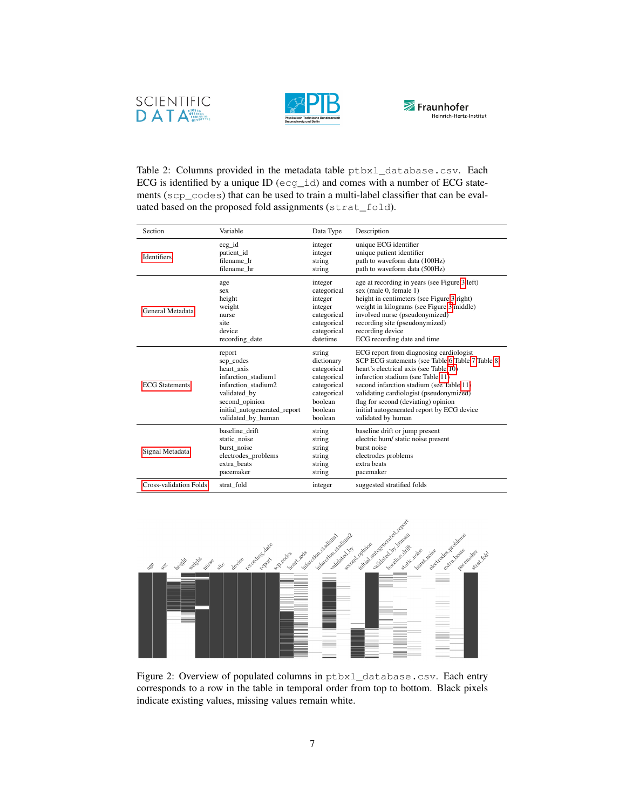





<span id="page-6-0"></span>Table 2: Columns provided in the metadata table ptbxl\_database.csv. Each ECG is identified by a unique ID (ecg\_id) and comes with a number of ECG statements (scp\_codes) that can be used to train a multi-label classifier that can be evaluated based on the proposed fold assignments (strat\_fold).

| Section                       | Variable                     | Data Type   | Description                                      |
|-------------------------------|------------------------------|-------------|--------------------------------------------------|
| <b>Identifiers</b>            | $ecg_id$                     | integer     | unique ECG identifier                            |
|                               | patient_id                   | integer     | unique patient identifier                        |
|                               | filename lr                  | string      | path to waveform data (100Hz)                    |
|                               | filename hr                  | string      | path to waveform data (500Hz)                    |
| General Metadata              | age                          | integer     | age at recording in years (see Figure 3 left)    |
|                               | sex                          | categorical | sex (male 0, female 1)                           |
|                               | height                       | integer     | height in centimeters (see Figure 3 right)       |
|                               | weight                       | integer     | weight in kilograms (see Figure 3 middle)        |
|                               | nurse                        | categorical | involved nurse (pseudonymized)                   |
|                               | site                         | categorical | recording site (pseudonymized)                   |
|                               | device                       | categorical | recording device                                 |
|                               | recording date               | datetime    | ECG recording date and time                      |
| <b>ECG</b> Statements         | report                       | string      | ECG report from diagnosing cardiologist          |
|                               | scp codes                    | dictionary  | SCP ECG statements (see Table 6 Table 7 Table 8) |
|                               | heart_axis                   | categorical | heart's electrical axis (see Table 10)           |
|                               | infarction stadium1          | categorical | infarction stadium (see Table 11)                |
|                               | infarction stadium2          | categorical | second infarction stadium (see Table 11)         |
|                               | validated by                 | categorical | validating cardiologist (pseudonymized)          |
|                               | second opinion               | boolean     | flag for second (deviating) opinion              |
|                               | initial autogenerated report | boolean     | initial autogenerated report by ECG device       |
|                               | validated by human           | boolean     | validated by human                               |
| Signal Metadata               | baseline drift               | string      | baseline drift or jump present                   |
|                               | static noise                 | string      | electric hum/ static noise present               |
|                               | burst noise                  | string      | burst noise                                      |
|                               | electrodes_problems          | string      | electrodes problems                              |
|                               | extra beats                  | string      | extra beats                                      |
|                               | pacemaker                    | string      | pacemaker                                        |
| <b>Cross-validation Folds</b> | strat fold                   | integer     | suggested stratified folds                       |

<span id="page-6-1"></span>

Figure 2: Overview of populated columns in ptbxl\_database.csv. Each entry corresponds to a row in the table in temporal order from top to bottom. Black pixels indicate existing values, missing values remain white.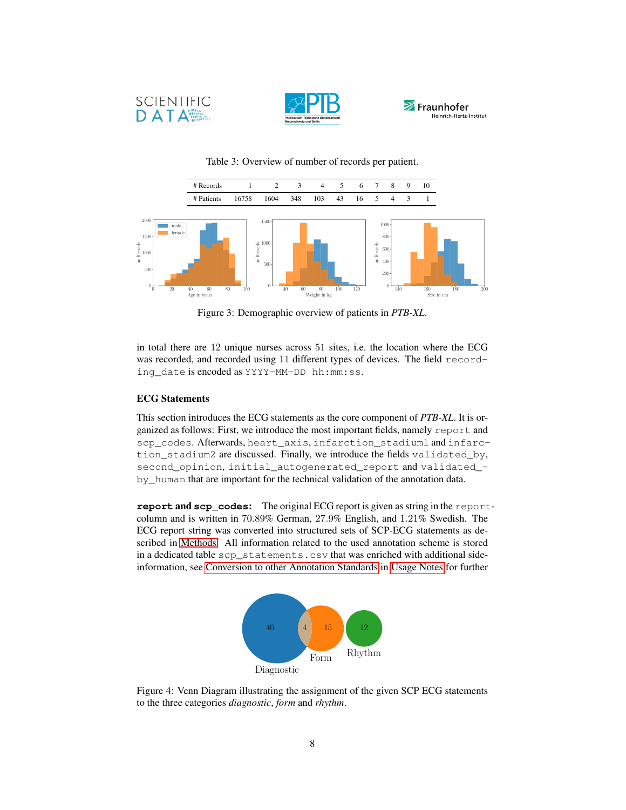





<span id="page-7-1"></span><span id="page-7-0"></span>

Table 3: Overview of number of records per patient.

Figure 3: Demographic overview of patients in *PTB-XL*.

in total there are 12 unique nurses across 51 sites, i.e. the location where the ECG was recorded, and recorded using 11 different types of devices. The field recording\_date is encoded as YYYY-MM-DD hh:mm:ss.

#### <span id="page-7-2"></span>ECG Statements

This section introduces the ECG statements as the core component of *PTB-XL*. It is organized as follows: First, we introduce the most important fields, namely report and scp\_codes. Afterwards, heart\_axis, infarction\_stadium1 and infarction\_stadium2 are discussed. Finally, we introduce the fields validated\_by, second\_opinion, initial\_autogenerated\_report and validated\_ by\_human that are important for the technical validation of the annotation data.

<span id="page-7-3"></span>**report** and **scp\_codes**: The original ECG report is given as string in the reportcolumn and is written in 70.89% German, 27.9% English, and 1.21% Swedish. The ECG report string was converted into structured sets of SCP-ECG statements as described in [Methods.](#page-2-1) All information related to the used annotation scheme is stored in a dedicated table scp\_statements.csv that was enriched with additional sideinformation, see [Conversion to other Annotation Standards](#page-12-0) in [Usage Notes](#page-12-1) for further



Figure 4: Venn Diagram illustrating the assignment of the given SCP ECG statements to the three categories *diagnostic*, *form* and *rhythm*.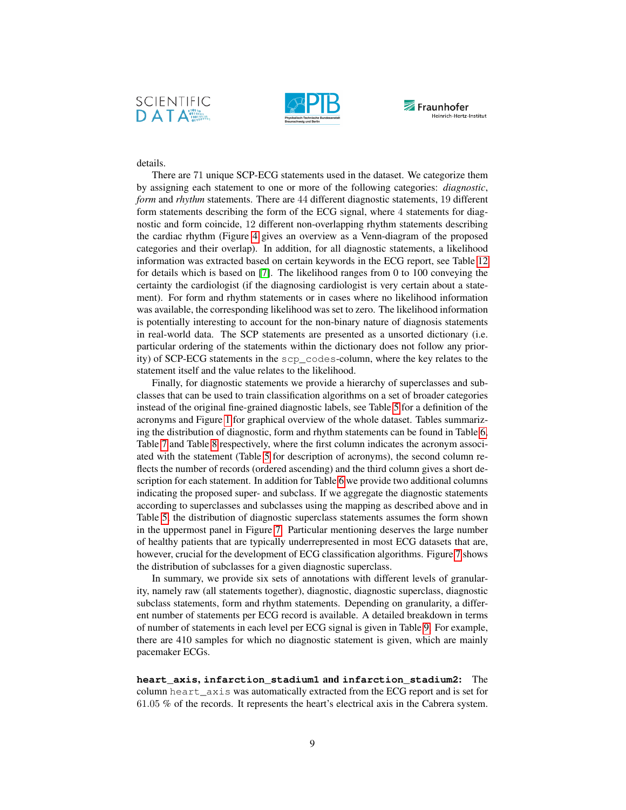





### details.

There are 71 unique SCP-ECG statements used in the dataset. We categorize them by assigning each statement to one or more of the following categories: *diagnostic*, *form* and *rhythm* statements. There are 44 different diagnostic statements, 19 different form statements describing the form of the ECG signal, where 4 statements for diagnostic and form coincide, 12 different non-overlapping rhythm statements describing the cardiac rhythm (Figure [4](#page-7-3) gives an overview as a Venn-diagram of the proposed categories and their overlap). In addition, for all diagnostic statements, a likelihood information was extracted based on certain keywords in the ECG report, see Table [12](#page-21-0) for details which is based on [\[7\]](#page-22-4). The likelihood ranges from 0 to 100 conveying the certainty the cardiologist (if the diagnosing cardiologist is very certain about a statement). For form and rhythm statements or in cases where no likelihood information was available, the corresponding likelihood was set to zero. The likelihood information is potentially interesting to account for the non-binary nature of diagnosis statements in real-world data. The SCP statements are presented as a unsorted dictionary (i.e. particular ordering of the statements within the dictionary does not follow any priority) of SCP-ECG statements in the scp\_codes-column, where the key relates to the statement itself and the value relates to the likelihood.

Finally, for diagnostic statements we provide a hierarchy of superclasses and subclasses that can be used to train classification algorithms on a set of broader categories instead of the original fine-grained diagnostic labels, see Table [5](#page-17-0) for a definition of the acronyms and Figure [1](#page-2-0) for graphical overview of the whole dataset. Tables summarizing the distribution of diagnostic, form and rhythm statements can be found in Table [6,](#page-18-0) Table [7](#page-19-0) and Table [8](#page-19-0) respectively, where the first column indicates the acronym associated with the statement (Table [5](#page-17-0) for description of acronyms), the second column reflects the number of records (ordered ascending) and the third column gives a short description for each statement. In addition for Table [6](#page-18-0) we provide two additional columns indicating the proposed super- and subclass. If we aggregate the diagnostic statements according to superclasses and subclasses using the mapping as described above and in Table [5,](#page-17-0) the distribution of diagnostic superclass statements assumes the form shown in the uppermost panel in Figure [7.](#page-20-0) Particular mentioning deserves the large number of healthy patients that are typically underrepresented in most ECG datasets that are, however, crucial for the development of ECG classification algorithms. Figure [7](#page-20-0) shows the distribution of subclasses for a given diagnostic superclass.

In summary, we provide six sets of annotations with different levels of granularity, namely raw (all statements together), diagnostic, diagnostic superclass, diagnostic subclass statements, form and rhythm statements. Depending on granularity, a different number of statements per ECG record is available. A detailed breakdown in terms of number of statements in each level per ECG signal is given in Table [9.](#page-21-0) For example, there are 410 samples for which no diagnostic statement is given, which are mainly pacemaker ECGs.

**heart\_axis**, **infarction\_stadium1** and **infarction\_stadium2**: The column heart\_axis was automatically extracted from the ECG report and is set for 61.05 % of the records. It represents the heart's electrical axis in the Cabrera system.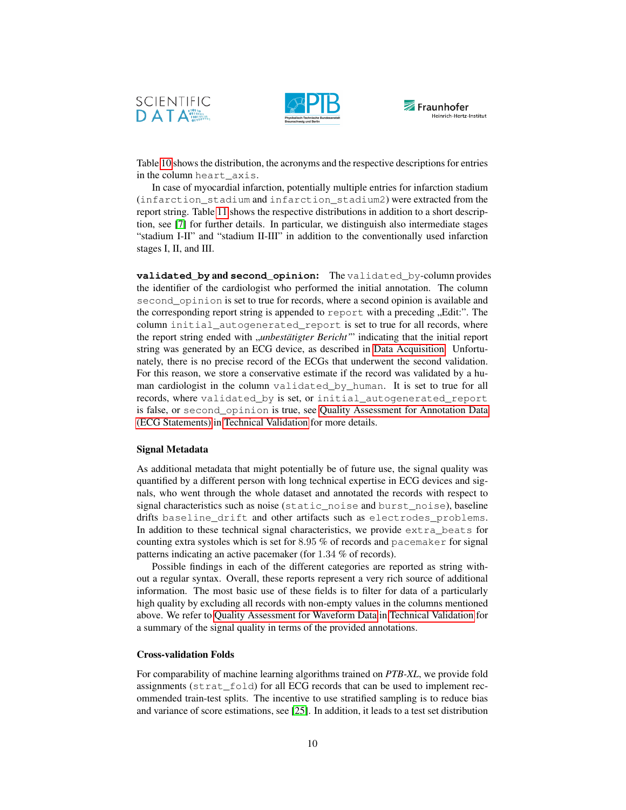





Table [10](#page-21-0) shows the distribution, the acronyms and the respective descriptions for entries in the column heart axis.

In case of myocardial infarction, potentially multiple entries for infarction stadium (infarction\_stadium and infarction\_stadium2) were extracted from the report string. Table [11](#page-21-0) shows the respective distributions in addition to a short description, see [\[7\]](#page-22-4) for further details. In particular, we distinguish also intermediate stages "stadium I-II" and "stadium II-III" in addition to the conventionally used infarction stages I, II, and III.

**validated\_by** and **second\_opinion**: The validated\_by-column provides the identifier of the cardiologist who performed the initial annotation. The column second\_opinion is set to true for records, where a second opinion is available and the corresponding report string is appended to report with a preceding  $n$ . Edit:". The column initial\_autogenerated\_report is set to true for all records, where the report string ended with *"unbestätigter Bericht*" indicating that the initial report string was generated by an ECG device, as described in [Data Acquisition.](#page-3-1) Unfortunately, there is no precise record of the ECGs that underwent the second validation. For this reason, we store a conservative estimate if the record was validated by a human cardiologist in the column validated by human. It is set to true for all records, where validated\_by is set, or initial\_autogenerated\_report is false, or second\_opinion is true, see [Quality Assessment for Annotation Data](#page-11-0) [\(ECG Statements\)](#page-11-0) in [Technical Validation](#page-10-0) for more details.

#### <span id="page-9-0"></span>Signal Metadata

As additional metadata that might potentially be of future use, the signal quality was quantified by a different person with long technical expertise in ECG devices and signals, who went through the whole dataset and annotated the records with respect to signal characteristics such as noise (static\_noise and burst\_noise), baseline drifts baseline\_drift and other artifacts such as electrodes\_problems. In addition to these technical signal characteristics, we provide  $ext{ext{ }r}$  beats for counting extra systoles which is set for 8.95 % of records and pacemaker for signal patterns indicating an active pacemaker (for 1.34 % of records).

Possible findings in each of the different categories are reported as string without a regular syntax. Overall, these reports represent a very rich source of additional information. The most basic use of these fields is to filter for data of a particularly high quality by excluding all records with non-empty values in the columns mentioned above. We refer to [Quality Assessment for Waveform Data](#page-10-1) in [Technical Validation](#page-10-0) for a summary of the signal quality in terms of the provided annotations.

#### <span id="page-9-1"></span>Cross-validation Folds

For comparability of machine learning algorithms trained on *PTB-XL*, we provide fold assignments (strat\_fold) for all ECG records that can be used to implement recommended train-test splits. The incentive to use stratified sampling is to reduce bias and variance of score estimations, see [\[25\]](#page-23-8). In addition, it leads to a test set distribution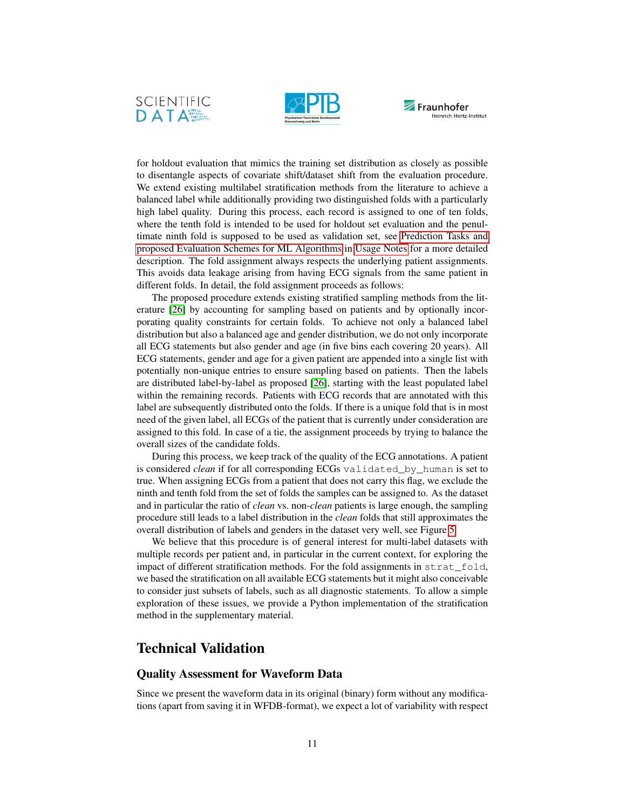





for holdout evaluation that mimics the training set distribution as closely as possible to disentangle aspects of covariate shift/dataset shift from the evaluation procedure. We extend existing multilabel stratification methods from the literature to achieve a balanced label while additionally providing two distinguished folds with a particularly high label quality. During this process, each record is assigned to one of ten folds, where the tenth fold is intended to be used for holdout set evaluation and the penultimate ninth fold is supposed to be used as validation set, see [Prediction Tasks and](#page-13-0) [proposed Evaluation Schemes for ML Algorithms](#page-13-0) in [Usage Notes](#page-12-1) for a more detailed description. The fold assignment always respects the underlying patient assignments. This avoids data leakage arising from having ECG signals from the same patient in different folds. In detail, the fold assignment proceeds as follows:

The proposed procedure extends existing stratified sampling methods from the literature [\[26\]](#page-23-9) by accounting for sampling based on patients and by optionally incorporating quality constraints for certain folds. To achieve not only a balanced label distribution but also a balanced age and gender distribution, we do not only incorporate all ECG statements but also gender and age (in five bins each covering 20 years). All ECG statements, gender and age for a given patient are appended into a single list with potentially non-unique entries to ensure sampling based on patients. Then the labels are distributed label-by-label as proposed [\[26\]](#page-23-9), starting with the least populated label within the remaining records. Patients with ECG records that are annotated with this label are subsequently distributed onto the folds. If there is a unique fold that is in most need of the given label, all ECGs of the patient that is currently under consideration are assigned to this fold. In case of a tie, the assignment proceeds by trying to balance the overall sizes of the candidate folds.

During this process, we keep track of the quality of the ECG annotations. A patient is considered *clean* if for all corresponding ECGs validated by human is set to true. When assigning ECGs from a patient that does not carry this flag, we exclude the ninth and tenth fold from the set of folds the samples can be assigned to. As the dataset and in particular the ratio of *clean* vs. non-*clean* patients is large enough, the sampling procedure still leads to a label distribution in the *clean* folds that still approximates the overall distribution of labels and genders in the dataset very well, see Figure [5.](#page-11-1)

We believe that this procedure is of general interest for multi-label datasets with multiple records per patient and, in particular in the current context, for exploring the impact of different stratification methods. For the fold assignments in  $strat$  fold, we based the stratification on all available ECG statements but it might also conceivable to consider just subsets of labels, such as all diagnostic statements. To allow a simple exploration of these issues, we provide a Python implementation of the stratification method in the supplementary material.

## <span id="page-10-0"></span>Technical Validation

## <span id="page-10-1"></span>Quality Assessment for Waveform Data

Since we present the waveform data in its original (binary) form without any modifications (apart from saving it in WFDB-format), we expect a lot of variability with respect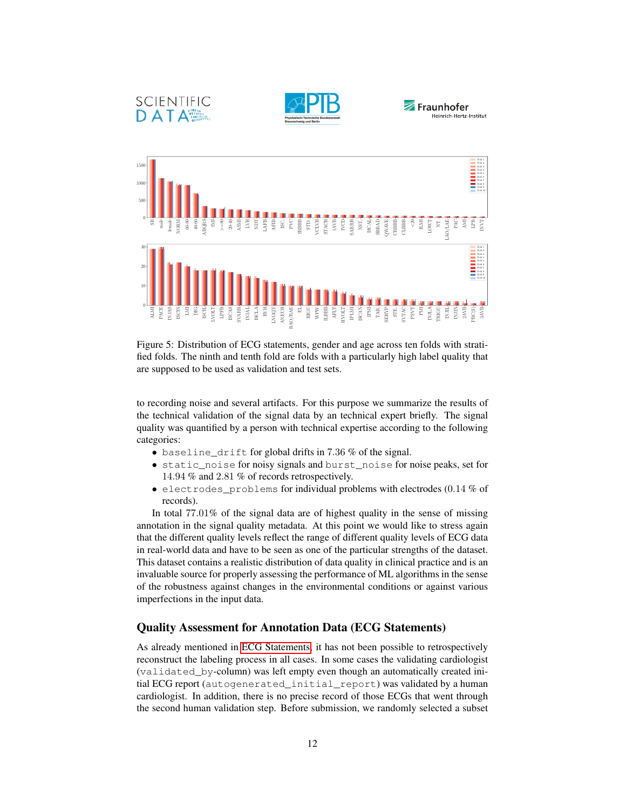





<span id="page-11-1"></span>

Figure 5: Distribution of ECG statements, gender and age across ten folds with stratified folds. The ninth and tenth fold are folds with a particularly high label quality that are supposed to be used as validation and test sets.

to recording noise and several artifacts. For this purpose we summarize the results of the technical validation of the signal data by an technical expert briefly. The signal quality was quantified by a person with technical expertise according to the following categories:

- baseline\_drift for global drifts in 7.36 % of the signal.
- static\_noise for noisy signals and burst\_noise for noise peaks, set for 14.94 % and 2.81 % of records retrospectively.
- electrodes\_problems for individual problems with electrodes (0.14 % of records).

In total 77.01% of the signal data are of highest quality in the sense of missing annotation in the signal quality metadata. At this point we would like to stress again that the different quality levels reflect the range of different quality levels of ECG data in real-world data and have to be seen as one of the particular strengths of the dataset. This dataset contains a realistic distribution of data quality in clinical practice and is an invaluable source for properly assessing the performance of ML algorithms in the sense of the robustness against changes in the environmental conditions or against various imperfections in the input data.

### <span id="page-11-0"></span>Quality Assessment for Annotation Data (ECG Statements)

As already mentioned in [ECG Statements,](#page-7-2) it has not been possible to retrospectively reconstruct the labeling process in all cases. In some cases the validating cardiologist (validated\_by-column) was left empty even though an automatically created initial ECG report (autogenerated\_initial\_report) was validated by a human cardiologist. In addition, there is no precise record of those ECGs that went through the second human validation step. Before submission, we randomly selected a subset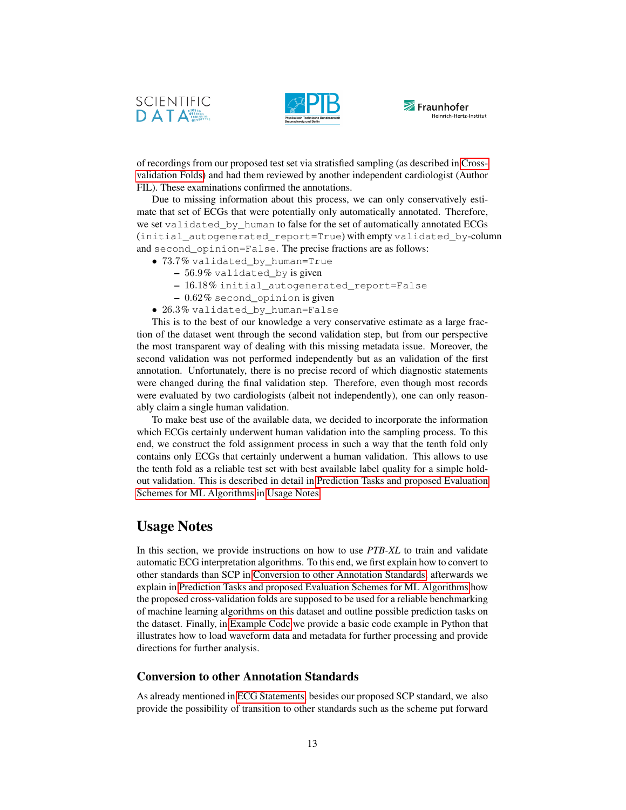





of recordings from our proposed test set via stratisfied sampling (as described in [Cross](#page-9-1)[validation Folds\)](#page-9-1) and had them reviewed by another independent cardiologist (Author FIL). These examinations confirmed the annotations.

Due to missing information about this process, we can only conservatively estimate that set of ECGs that were potentially only automatically annotated. Therefore, we set validated\_by\_human to false for the set of automatically annotated ECGs (initial\_autogenerated\_report=True) with empty validated\_by-column and second\_opinion=False. The precise fractions are as follows:

- 73.7% validated\_by\_human=True
	- 56.9% validated\_by is given
	- 16.18% initial\_autogenerated\_report=False
	- 0.62% second\_opinion is given
- 26.3% validated\_by\_human=False

This is to the best of our knowledge a very conservative estimate as a large fraction of the dataset went through the second validation step, but from our perspective the most transparent way of dealing with this missing metadata issue. Moreover, the second validation was not performed independently but as an validation of the first annotation. Unfortunately, there is no precise record of which diagnostic statements were changed during the final validation step. Therefore, even though most records were evaluated by two cardiologists (albeit not independently), one can only reasonably claim a single human validation.

To make best use of the available data, we decided to incorporate the information which ECGs certainly underwent human validation into the sampling process. To this end, we construct the fold assignment process in such a way that the tenth fold only contains only ECGs that certainly underwent a human validation. This allows to use the tenth fold as a reliable test set with best available label quality for a simple holdout validation. This is described in detail in [Prediction Tasks and proposed Evaluation](#page-13-0) [Schemes for ML Algorithms](#page-13-0) in [Usage Notes.](#page-12-1)

## <span id="page-12-1"></span>Usage Notes

In this section, we provide instructions on how to use *PTB-XL* to train and validate automatic ECG interpretation algorithms. To this end, we first explain how to convert to other standards than SCP in [Conversion to other Annotation Standards,](#page-12-0) afterwards we explain in [Prediction Tasks and proposed Evaluation Schemes for ML Algorithms](#page-13-0) how the proposed cross-validation folds are supposed to be used for a reliable benchmarking of machine learning algorithms on this dataset and outline possible prediction tasks on the dataset. Finally, in [Example Code](#page-14-0) we provide a basic code example in Python that illustrates how to load waveform data and metadata for further processing and provide directions for further analysis.

### <span id="page-12-0"></span>Conversion to other Annotation Standards

As already mentioned in [ECG Statements,](#page-7-2) besides our proposed SCP standard, we also provide the possibility of transition to other standards such as the scheme put forward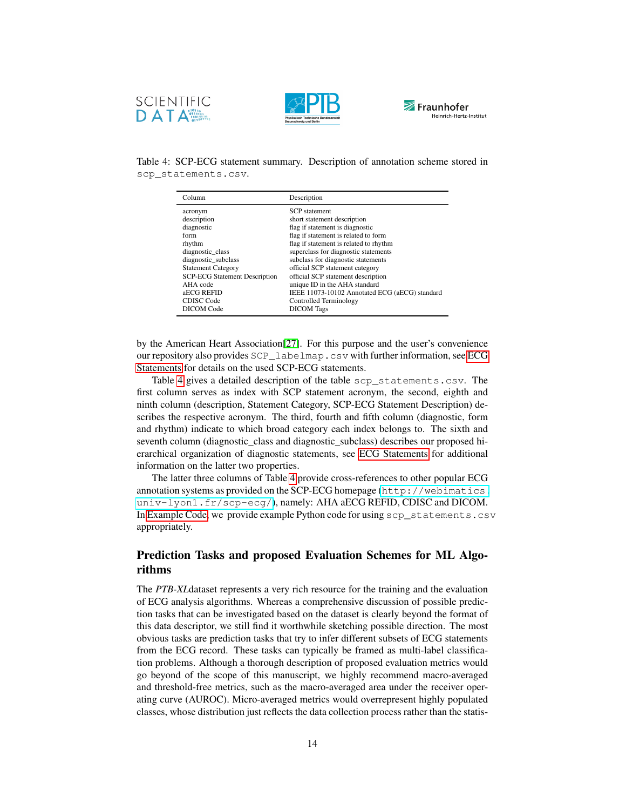



<span id="page-13-1"></span>

Table 4: SCP-ECG statement summary. Description of annotation scheme stored in scp\_statements.csv.

| Column                               | Description                                    |
|--------------------------------------|------------------------------------------------|
| acronym                              | <b>SCP</b> statement                           |
| description                          | short statement description                    |
| diagnostic                           | flag if statement is diagnostic                |
| form                                 | flag if statement is related to form           |
| rhythm                               | flag if statement is related to rhythm         |
| diagnostic class                     | superclass for diagnostic statements           |
| diagnostic subclass                  | subclass for diagnostic statements             |
| <b>Statement Category</b>            | official SCP statement category                |
| <b>SCP-ECG Statement Description</b> | official SCP statement description             |
| AHA code                             | unique ID in the AHA standard                  |
| aECG REFID                           | IEEE 11073-10102 Annotated ECG (aECG) standard |
| <b>CDISC</b> Code                    | Controlled Terminology                         |
| DICOM Code                           | <b>DICOM</b> Tags                              |

by the American Heart Association[\[27\]](#page-23-10). For this purpose and the user's convenience our repository also provides SCP\_labelmap.csv with further information, see [ECG](#page-7-2) [Statements](#page-7-2) for details on the used SCP-ECG statements.

Table [4](#page-13-1) gives a detailed description of the table scp\_statements.csv. The first column serves as index with SCP statement acronym, the second, eighth and ninth column (description, Statement Category, SCP-ECG Statement Description) describes the respective acronym. The third, fourth and fifth column (diagnostic, form and rhythm) indicate to which broad category each index belongs to. The sixth and seventh column (diagnostic\_class and diagnostic\_subclass) describes our proposed hierarchical organization of diagnostic statements, see [ECG Statements](#page-7-2) for additional information on the latter two properties.

The latter three columns of Table [4](#page-13-1) provide cross-references to other popular ECG annotation systems as provided on the SCP-ECG homepage ([http://webimatics.](http://webimatics.univ-lyon1.fr/scp-ecg/) univ-lyon1.fr/scp-ecq/), namely: AHA aECG REFID, CDISC and DICOM. In [Example Code,](#page-14-0) we provide example Python code for using scp\_statements.csv appropriately.

## <span id="page-13-0"></span>Prediction Tasks and proposed Evaluation Schemes for ML Algorithms

The *PTB-XL*dataset represents a very rich resource for the training and the evaluation of ECG analysis algorithms. Whereas a comprehensive discussion of possible prediction tasks that can be investigated based on the dataset is clearly beyond the format of this data descriptor, we still find it worthwhile sketching possible direction. The most obvious tasks are prediction tasks that try to infer different subsets of ECG statements from the ECG record. These tasks can typically be framed as multi-label classification problems. Although a thorough description of proposed evaluation metrics would go beyond of the scope of this manuscript, we highly recommend macro-averaged and threshold-free metrics, such as the macro-averaged area under the receiver operating curve (AUROC). Micro-averaged metrics would overrepresent highly populated classes, whose distribution just reflects the data collection process rather than the statis-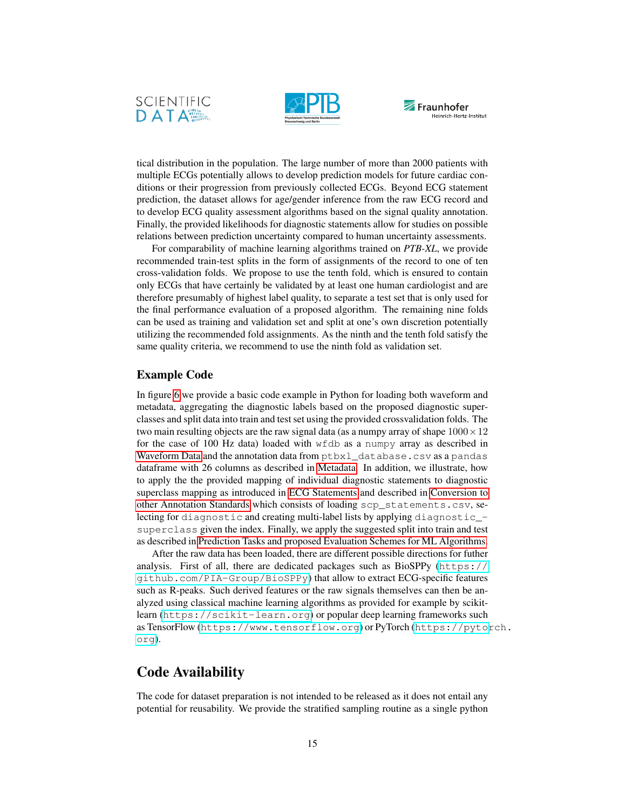





tical distribution in the population. The large number of more than 2000 patients with multiple ECGs potentially allows to develop prediction models for future cardiac conditions or their progression from previously collected ECGs. Beyond ECG statement prediction, the dataset allows for age/gender inference from the raw ECG record and to develop ECG quality assessment algorithms based on the signal quality annotation. Finally, the provided likelihoods for diagnostic statements allow for studies on possible relations between prediction uncertainty compared to human uncertainty assessments.

For comparability of machine learning algorithms trained on *PTB-XL*, we provide recommended train-test splits in the form of assignments of the record to one of ten cross-validation folds. We propose to use the tenth fold, which is ensured to contain only ECGs that have certainly be validated by at least one human cardiologist and are therefore presumably of highest label quality, to separate a test set that is only used for the final performance evaluation of a proposed algorithm. The remaining nine folds can be used as training and validation set and split at one's own discretion potentially utilizing the recommended fold assignments. As the ninth and the tenth fold satisfy the same quality criteria, we recommend to use the ninth fold as validation set.

#### <span id="page-14-0"></span>Example Code

In figure [6](#page-15-0) we provide a basic code example in Python for loading both waveform and metadata, aggregating the diagnostic labels based on the proposed diagnostic superclasses and split data into train and test set using the provided crossvalidation folds. The two main resulting objects are the raw signal data (as a numpy array of shape  $1000 \times 12$ for the case of 100 Hz data) loaded with wfdb as a numpy array as described in [Waveform Data](#page-4-1) and the annotation data from ptbxl\_database.csv as a pandas dataframe with 26 columns as described in [Metadata.](#page-5-0) In addition, we illustrate, how to apply the the provided mapping of individual diagnostic statements to diagnostic superclass mapping as introduced in [ECG Statements](#page-7-2) and described in [Conversion to](#page-12-0) [other Annotation Standards](#page-12-0) which consists of loading scp\_statements.csv, selecting for diagnostic and creating multi-label lists by applying diagnostic\_ superclass given the index. Finally, we apply the suggested split into train and test as described in [Prediction Tasks and proposed Evaluation Schemes for ML Algorithms.](#page-13-0)

After the raw data has been loaded, there are different possible directions for futher analysis. First of all, there are dedicated packages such as BioSPPy ([https://](https://github.com/PIA-Group/BioSPPy) [github.com/PIA-Group/BioSPPy](https://github.com/PIA-Group/BioSPPy)) that allow to extract ECG-specific features such as R-peaks. Such derived features or the raw signals themselves can then be analyzed using classical machine learning algorithms as provided for example by scikitlearn (<https://scikit-learn.org>) or popular deep learning frameworks such as TensorFlow (<https://www.tensorflow.org>) or PyTorch ([https://pytor](https://pytorch.org)ch. [org](https://pytorch.org)).

## Code Availability

The code for dataset preparation is not intended to be released as it does not entail any potential for reusability. We provide the stratified sampling routine as a single python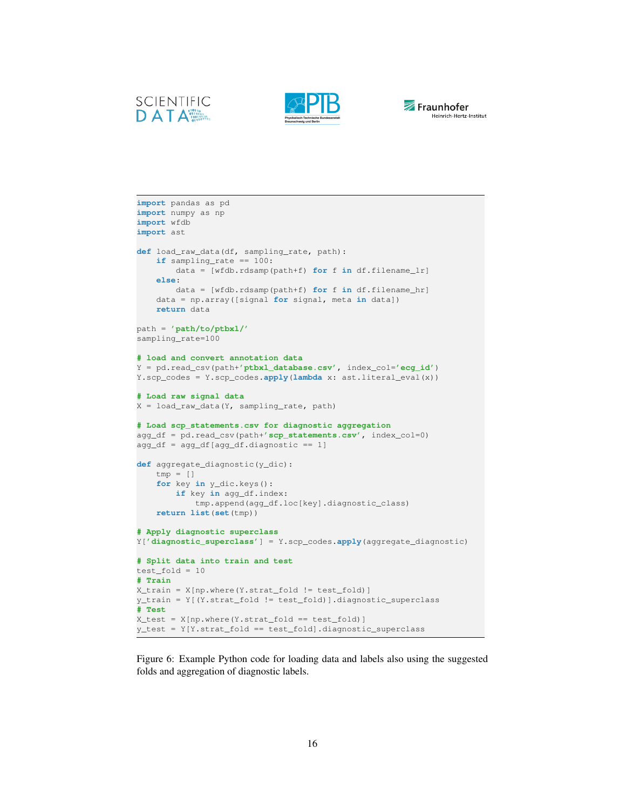





```
import pandas as pd
import numpy as np
import wfdb
import ast
def load_raw_data(df, sampling_rate, path):
   if sampling_rate == 100:
       data = [wfdb.rdsamp(path+f) for f in df.filename_lr]
   else:
       data = [wfdb.rdsamp(path+f) for f in df.filename_hr]
   data = np.array([signal for signal, meta in data])
   return data
path = 'path/to/ptbxl/'
sampling_rate=100
# load and convert annotation data
Y = pd.read_csv(path+'ptbxl_database.csv', index_col='ecg_id')
Y.scp_codes = Y.scp_codes.apply(lambda x: ast.literal_eval(x))
# Load raw signal data
X = load_raw_data(Y, sampling_rate, path)
# Load scp_statements.csv for diagnostic aggregation
agg_df = pd.read_csv(path+'scp_statements.csv', index_col=0)
agg_df = agg_df[agg_df.diagnostic == 1]def aggregate_diagnostic(y_dic):
   tmp = []for key in y_dic.keys():
       if key in agg_df.index:
           tmp.append(agg_df.loc[key].diagnostic_class)
   return list(set(tmp))
# Apply diagnostic superclass
Y['diagnostic_superclass'] = Y.scp_codes.apply(aggregate_diagnostic)
# Split data into train and test
test fold = 10# Train
X_train = X[np.where(Y.strat_fold != test_fold)]
y_train = Y[(Y.strat_fold != test_fold)].diagnostic_superclass
# Test
X_test = X(np.where(Y.start_fold == test_fold)]y_test = Y[Y.strat_fold == test_fold].diagnostic_superclass
```
Figure 6: Example Python code for loading data and labels also using the suggested folds and aggregation of diagnostic labels.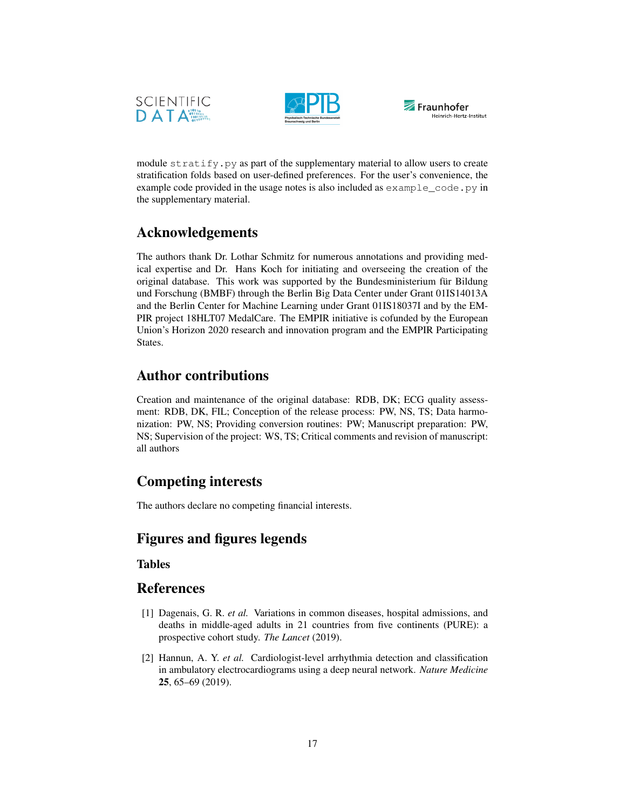





module stratify.py as part of the supplementary material to allow users to create stratification folds based on user-defined preferences. For the user's convenience, the example code provided in the usage notes is also included as example\_code.py in the supplementary material.

## Acknowledgements

The authors thank Dr. Lothar Schmitz for numerous annotations and providing medical expertise and Dr. Hans Koch for initiating and overseeing the creation of the original database. This work was supported by the Bundesministerium für Bildung und Forschung (BMBF) through the Berlin Big Data Center under Grant 01IS14013A and the Berlin Center for Machine Learning under Grant 01IS18037I and by the EM-PIR project 18HLT07 MedalCare. The EMPIR initiative is cofunded by the European Union's Horizon 2020 research and innovation program and the EMPIR Participating States.

## Author contributions

Creation and maintenance of the original database: RDB, DK; ECG quality assessment: RDB, DK, FIL; Conception of the release process: PW, NS, TS; Data harmonization: PW, NS; Providing conversion routines: PW; Manuscript preparation: PW, NS; Supervision of the project: WS, TS; Critical comments and revision of manuscript: all authors

## Competing interests

The authors declare no competing financial interests.

## Figures and figures legends

## Tables

## References

- <span id="page-16-0"></span>[1] Dagenais, G. R. *et al.* Variations in common diseases, hospital admissions, and deaths in middle-aged adults in 21 countries from five continents (PURE): a prospective cohort study. *The Lancet* (2019).
- <span id="page-16-1"></span>[2] Hannun, A. Y. *et al.* Cardiologist-level arrhythmia detection and classification in ambulatory electrocardiograms using a deep neural network. *Nature Medicine* 25, 65–69 (2019).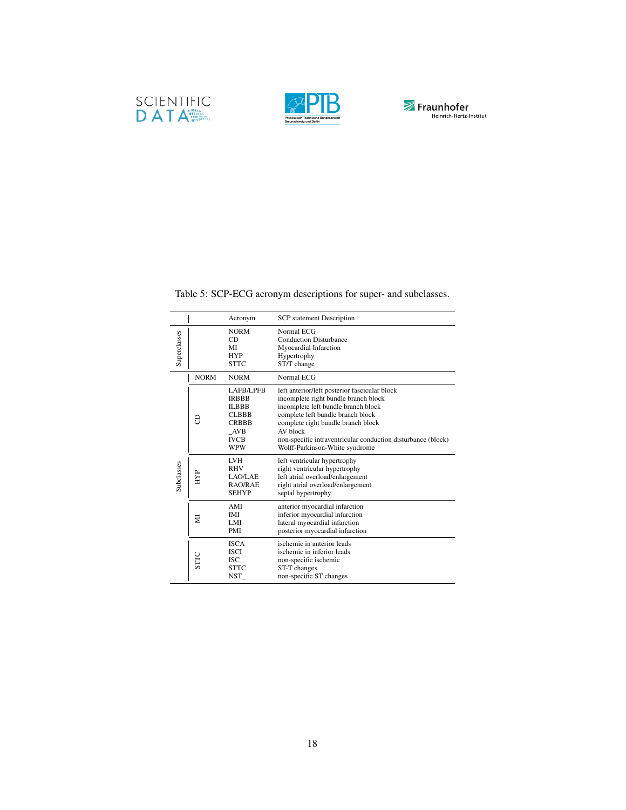





Table 5: SCP-ECG acronym descriptions for super- and subclasses.

<span id="page-17-0"></span>

|              |             | Acronym                                                                                                              | <b>SCP</b> statement Description                                                                                                                                                                                                                                                                                      |
|--------------|-------------|----------------------------------------------------------------------------------------------------------------------|-----------------------------------------------------------------------------------------------------------------------------------------------------------------------------------------------------------------------------------------------------------------------------------------------------------------------|
| Superclasses |             | <b>NORM</b><br>CD<br>MI<br><b>HYP</b><br><b>STTC</b>                                                                 | Normal ECG<br><b>Conduction Disturbance</b><br>Myocardial Infarction<br>Hypertrophy<br>ST/T change                                                                                                                                                                                                                    |
|              | <b>NORM</b> | <b>NORM</b>                                                                                                          | Normal ECG                                                                                                                                                                                                                                                                                                            |
|              | 8           | <b>LAFB/LPFB</b><br><b>IRBBB</b><br><b>ILBBB</b><br><b>CLBBB</b><br><b>CRBBB</b><br>AVB<br><b>IVCB</b><br><b>WPW</b> | left anterior/left posterior fascicular block<br>incomplete right bundle branch block<br>incomplete left bundle branch block<br>complete left bundle branch block<br>complete right bundle branch block<br>AV block<br>non-specific intraventricular conduction disturbance (block)<br>Wolff-Parkinson-White syndrome |
| Subclasses   | ĤЫ          | <b>LVH</b><br><b>RHV</b><br>LAO/LAE<br>RAO/RAE<br><b>SEHYP</b>                                                       | left ventricular hypertrophy<br>right ventricular hypertrophy<br>left atrial overload/enlargement<br>right atrial overload/enlargement<br>septal hypertrophy                                                                                                                                                          |
|              | Ξ           | AMI<br><b>IMI</b><br>LMI<br><b>PMI</b>                                                                               | anterior myocardial infarction<br>inferior myocardial infarction<br>lateral myocardial infarction<br>posterior myocardial infarction                                                                                                                                                                                  |
|              | STTC        | <b>ISCA</b><br><b>ISCI</b><br>ISC<br><b>STTC</b><br>NST_                                                             | ischemic in anterior leads<br>ischemic in inferior leads<br>non-specific ischemic<br>ST-T changes<br>non-specific ST changes                                                                                                                                                                                          |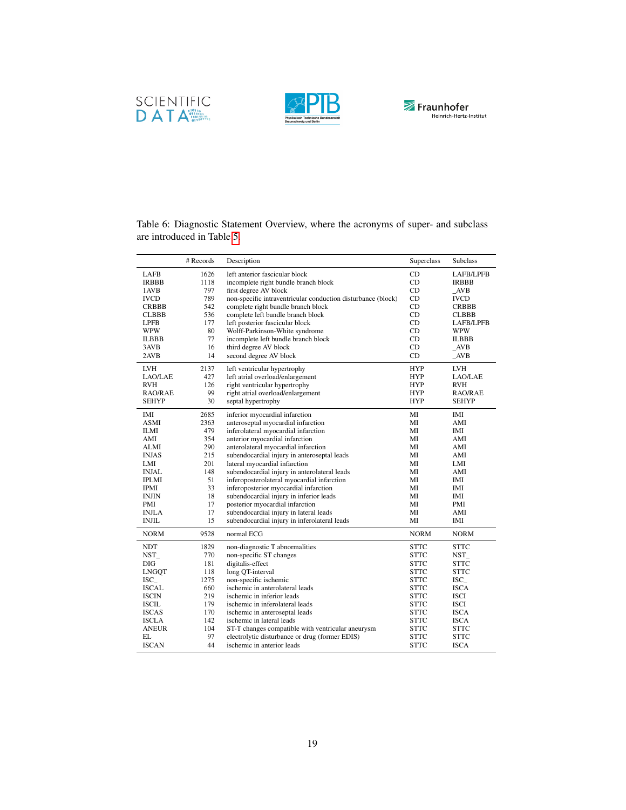





|              | # Records | Description                                                  | Superclass  | Subclass         |
|--------------|-----------|--------------------------------------------------------------|-------------|------------------|
| <b>LAFB</b>  | 1626      | left anterior fascicular block                               | CD          | <b>LAFB/LPFB</b> |
| <b>IRBBB</b> | 1118      | incomplete right bundle branch block                         | CD          | <b>IRBBB</b>     |
| 1AVB         | 797       | first degree AV block                                        | CD          | AVB              |
| <b>IVCD</b>  | 789       | non-specific intraventricular conduction disturbance (block) | CD          | <b>IVCD</b>      |
| <b>CRBBB</b> | 542       | complete right bundle branch block                           | CD          | <b>CRBBB</b>     |
| <b>CLBBB</b> | 536       | complete left bundle branch block                            | CD          | <b>CLBBB</b>     |
| <b>LPFB</b>  | 177       | left posterior fascicular block                              | CD          | <b>LAFB/LPFB</b> |
| <b>WPW</b>   | 80        | Wolff-Parkinson-White syndrome                               | CD          | <b>WPW</b>       |
| <b>ILBBB</b> | 77        | incomplete left bundle branch block                          | CD          | <b>ILBBB</b>     |
| 3AVB         | 16        | third degree AV block                                        | CD          | $\angle$ AVB     |
| 2AVB         | 14        | second degree AV block                                       | CD          | $\angle$ AVB     |
| LVH          | 2137      | left ventricular hypertrophy                                 | <b>HYP</b>  | LVH              |
| LAO/LAE      | 427       | left atrial overload/enlargement                             | <b>HYP</b>  | LAO/LAE          |
| <b>RVH</b>   | 126       | right ventricular hypertrophy                                | <b>HYP</b>  | <b>RVH</b>       |
| RAO/RAE      | 99        | right atrial overload/enlargement                            | <b>HYP</b>  | RAO/RAE          |
| <b>SEHYP</b> | 30        | septal hypertrophy                                           | <b>HYP</b>  | <b>SEHYP</b>     |
|              |           |                                                              |             |                  |
| IMI          | 2685      | inferior myocardial infarction                               | МI          | IMI              |
| <b>ASMI</b>  | 2363      | anteroseptal myocardial infarction                           | MI          | AMI              |
| <b>ILMI</b>  | 479       | inferolateral myocardial infarction                          | МI          | IMI              |
| AMI          | 354       | anterior myocardial infarction                               | МI          | AMI              |
| ALMI         | 290       | anterolateral myocardial infarction                          | МI          | AMI              |
| <b>INJAS</b> | 215       | subendocardial injury in anteroseptal leads                  | МI          | AMI              |
| LMI          | 201       | lateral myocardial infarction                                | МI          | LMI              |
| <b>INJAL</b> | 148       | subendocardial injury in anterolateral leads                 | МI          | AMI              |
| <b>IPLMI</b> | 51        | inferoposterolateral myocardial infarction                   | МI          | IMI              |
| <b>IPMI</b>  | 33        | inferoposterior myocardial infarction                        | МI          | IMI              |
| INJIN        | 18        | subendocardial injury in inferior leads                      | MI          | IMI              |
| PMI          | 17        | posterior myocardial infarction                              | МI          | PMI              |
| <b>INJLA</b> | 17        | subendocardial injury in lateral leads                       | MI          | AMI              |
| <b>INJIL</b> | 15        | subendocardial injury in inferolateral leads                 | МI          | IMI              |
| <b>NORM</b>  | 9528      | normal ECG                                                   | <b>NORM</b> | <b>NORM</b>      |
| <b>NDT</b>   | 1829      | non-diagnostic T abnormalities                               | <b>STTC</b> | <b>STTC</b>      |
| NST          | 770       | non-specific ST changes                                      | <b>STTC</b> | NST_             |
| DIG          | 181       | digitalis-effect                                             | <b>STTC</b> | <b>STTC</b>      |
| LNGQT        | 118       | long QT-interval                                             | <b>STTC</b> | <b>STTC</b>      |
| $ISC_$       | 1275      | non-specific ischemic                                        | <b>STTC</b> | $ISC_$           |
| ISCAL        | 660       | ischemic in anterolateral leads                              | <b>STTC</b> | ISCA             |
| ISCIN        | 219       | ischemic in inferior leads                                   | <b>STTC</b> | ISCI             |
| <b>ISCIL</b> | 179       | ischemic in inferolateral leads                              | <b>STTC</b> | <b>ISCI</b>      |
| <b>ISCAS</b> | 170       | ischemic in anteroseptal leads                               | <b>STTC</b> | <b>ISCA</b>      |
| <b>ISCLA</b> | 142       | ischemic in lateral leads                                    | <b>STTC</b> | <b>ISCA</b>      |
| <b>ANEUR</b> | 104       | ST-T changes compatible with ventricular aneurysm            | <b>STTC</b> | <b>STTC</b>      |
| EL           | 97        | electrolytic disturbance or drug (former EDIS)               | <b>STTC</b> | <b>STTC</b>      |
| <b>ISCAN</b> | 44        | ischemic in anterior leads                                   | <b>STTC</b> | <b>ISCA</b>      |

<span id="page-18-0"></span>Table 6: Diagnostic Statement Overview, where the acronyms of super- and subclass are introduced in Table [5.](#page-17-0)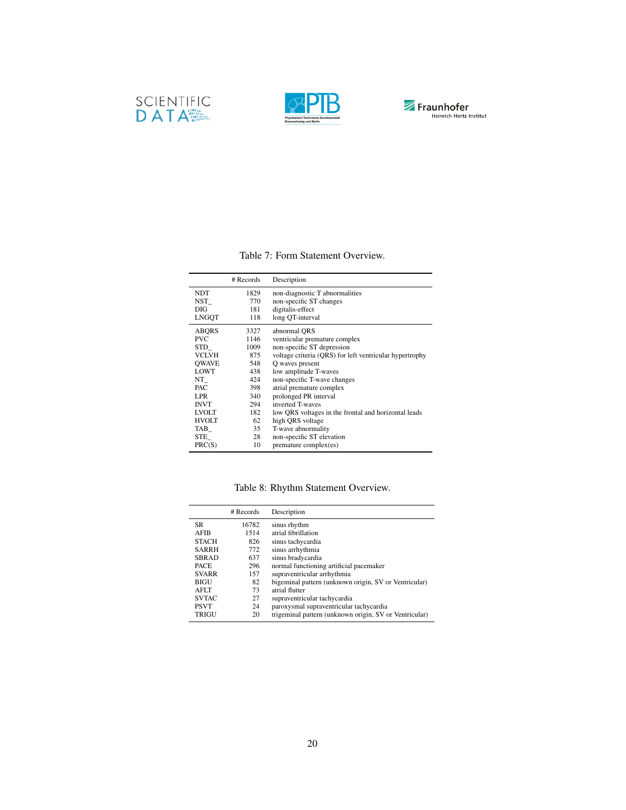





### Table 7: Form Statement Overview.

<span id="page-19-0"></span>

|              | # Records | Description                                             |
|--------------|-----------|---------------------------------------------------------|
| <b>NDT</b>   | 1829      | non-diagnostic T abnormalities                          |
| NST          | 770       | non-specific ST changes                                 |
| DIG          | 181       | digitalis-effect                                        |
| <b>LNGOT</b> | 118       | long OT-interval                                        |
| <b>ABORS</b> | 3327      | abnormal ORS                                            |
| <b>PVC</b>   | 1146      | ventricular premature complex                           |
| STD          | 1009      | non-specific ST depression                              |
| <b>VCLVH</b> | 875       | voltage criteria (QRS) for left ventricular hypertrophy |
| <b>OWAVE</b> | 548       | Q waves present                                         |
| <b>LOWT</b>  | 438       | low amplitude T-waves                                   |
| NT           | 424       | non-specific T-wave changes                             |
| <b>PAC</b>   | 398       | atrial premature complex                                |
| LPR.         | 340       | prolonged PR interval                                   |
| <b>INVT</b>  | 294       | inverted T-waves                                        |
| <b>LVOLT</b> | 182       | low QRS voltages in the frontal and horizontal leads    |
| <b>HVOLT</b> | 62        | high ORS voltage                                        |
| TAB          | 35        | T-wave abnormality                                      |
| STE          | 28        | non-specific ST elevation                               |
| PRC(S)       | 10        | premature complex(es)                                   |

## Table 8: Rhythm Statement Overview.

|              | # Records | Description                                            |
|--------------|-----------|--------------------------------------------------------|
| SR.          | 16782     | sinus rhythm                                           |
| <b>AFIB</b>  | 1514      | atrial fibrillation                                    |
| <b>STACH</b> | 826       | sinus tachycardia                                      |
| <b>SARRH</b> | 772       | sinus arrhythmia                                       |
| <b>SBRAD</b> | 637       | sinus bradycardia                                      |
| <b>PACE</b>  | 296       | normal functioning artificial pacemaker                |
| <b>SVARR</b> | 157       | supraventricular arrhythmia                            |
| <b>BIGU</b>  | 82        | bigeminal pattern (unknown origin, SV or Ventricular)  |
| <b>AFIT</b>  | 73        | atrial flutter                                         |
| <b>SVTAC</b> | 27        | supraventricular tachycardia                           |
| <b>PSVT</b>  | 24        | paroxysmal supraventricular tachycardia                |
| <b>TRIGU</b> | 20        | trigeminal pattern (unknown origin, SV or Ventricular) |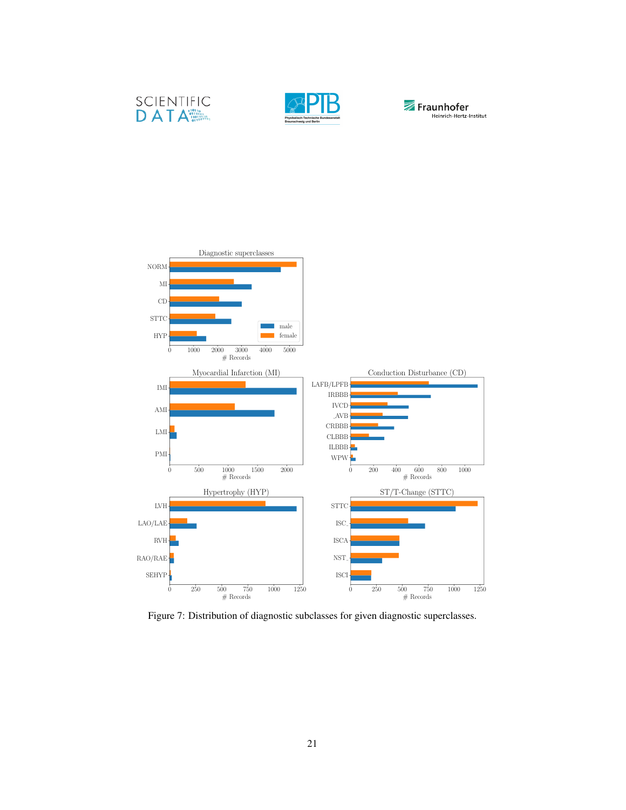





<span id="page-20-0"></span>

Figure 7: Distribution of diagnostic subclasses for given diagnostic superclasses.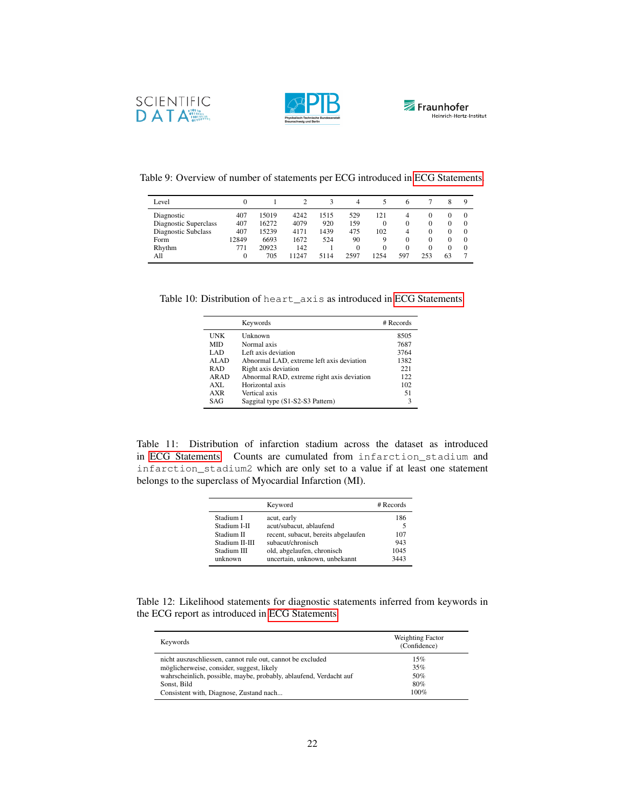





<span id="page-21-0"></span>

| Level                 | $\Omega$ |       |       |      | 4        |          | h        |     |    | Q        |
|-----------------------|----------|-------|-------|------|----------|----------|----------|-----|----|----------|
| Diagnostic            | 407      | 15019 | 4242  | 1515 | 529      | 121      | 4        |     |    |          |
| Diagnostic Superclass | 407      | 16272 | 4079  | 920  | 159      | 0        | $\Omega$ |     |    |          |
| Diagnostic Subclass   | 407      | 15239 | 4171  | 1439 | 475      | 102      | 4        |     |    |          |
| Form                  | 12849    | 6693  | 1672  | 524  | 90       | 9        | $\Omega$ |     |    |          |
| Rhythm                | 771      | 20923 | 142   |      | $\theta$ | $\theta$ | $\Omega$ |     |    | $\Omega$ |
| All                   | $\Omega$ | 705   | 11247 | 5114 | 2597     | 1254     | 597      | 253 | 63 |          |

Table 10: Distribution of heart\_axis as introduced in [ECG Statements.](#page-7-2)

|            | Keywords                                   | # Records |
|------------|--------------------------------------------|-----------|
| <b>UNK</b> | Unknown                                    | 8505      |
| <b>MID</b> | Normal axis                                | 7687      |
| LAD.       | Left axis deviation                        | 3764      |
| ALAD       | Abnormal LAD, extreme left axis deviation  | 1382      |
| <b>RAD</b> | Right axis deviation                       | 221       |
| ARAD       | Abnormal RAD, extreme right axis deviation | 122       |
| $AXI$ .    | Horizontal axis                            | 102       |
| AXR        | Vertical axis                              | 51        |
| SAG        | Saggital type (S1-S2-S3 Pattern)           | 3         |

Table 11: Distribution of infarction stadium across the dataset as introduced in [ECG Statements.](#page-7-2) Counts are cumulated from infarction\_stadium and infarction\_stadium2 which are only set to a value if at least one statement belongs to the superclass of Myocardial Infarction (MI).

|                | Keyword                             | $#$ Records |
|----------------|-------------------------------------|-------------|
| Stadium I      | acut, early                         | 186         |
| Stadium I-II   | acut/subacut, ablaufend             |             |
| Stadium II     | recent, subacut, bereits abgelaufen | 107         |
| Stadium II-III | subacut/chronisch                   | 943         |
| Stadium III    | old, abgelaufen, chronisch          | 1045        |
| unknown        | uncertain, unknown, unbekannt       | 3443        |

Table 12: Likelihood statements for diagnostic statements inferred from keywords in the ECG report as introduced in [ECG Statements.](#page-7-2)

| Keywords                                                           | Weighting Factor<br>(Confidence) |
|--------------------------------------------------------------------|----------------------------------|
| nicht auszuschliessen, cannot rule out, cannot be excluded         | 15%                              |
| möglicherweise, consider, suggest, likely                          | 35%                              |
| wahrscheinlich, possible, maybe, probably, ablaufend, Verdacht auf | 50%                              |
| Sonst. Bild                                                        | 80%                              |
| Consistent with, Diagnose, Zustand nach                            | $100\%$                          |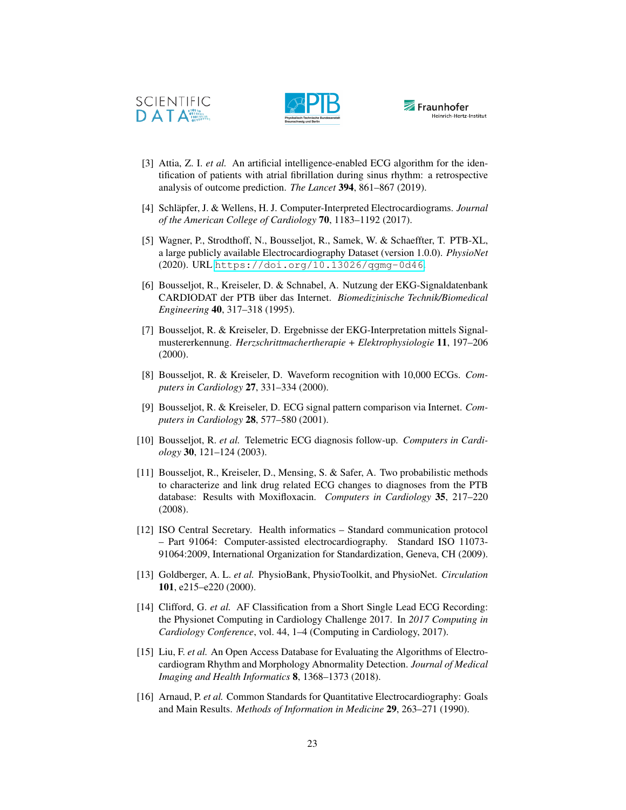





- <span id="page-22-0"></span>[3] Attia, Z. I. *et al.* An artificial intelligence-enabled ECG algorithm for the identification of patients with atrial fibrillation during sinus rhythm: a retrospective analysis of outcome prediction. *The Lancet* 394, 861–867 (2019).
- <span id="page-22-1"></span>[4] Schläpfer, J. & Wellens, H. J. Computer-Interpreted Electrocardiograms. *Journal of the American College of Cardiology* 70, 1183–1192 (2017).
- <span id="page-22-2"></span>[5] Wagner, P., Strodthoff, N., Bousseljot, R., Samek, W. & Schaeffter, T. PTB-XL, a large publicly available Electrocardiography Dataset (version 1.0.0). *PhysioNet* (2020). URL <https://doi.org/10.13026/qgmg-0d46>.
- <span id="page-22-3"></span>[6] Bousseljot, R., Kreiseler, D. & Schnabel, A. Nutzung der EKG-Signaldatenbank CARDIODAT der PTB über das Internet. *Biomedizinische Technik/Biomedical Engineering* 40, 317–318 (1995).
- <span id="page-22-4"></span>[7] Bousseljot, R. & Kreiseler, D. Ergebnisse der EKG-Interpretation mittels Signalmustererkennung. *Herzschrittmachertherapie + Elektrophysiologie* 11, 197–206 (2000).
- <span id="page-22-5"></span>[8] Bousseljot, R. & Kreiseler, D. Waveform recognition with 10,000 ECGs. *Computers in Cardiology* 27, 331–334 (2000).
- <span id="page-22-6"></span>[9] Bousseljot, R. & Kreiseler, D. ECG signal pattern comparison via Internet. *Computers in Cardiology* 28, 577–580 (2001).
- <span id="page-22-7"></span>[10] Bousseljot, R. *et al.* Telemetric ECG diagnosis follow-up. *Computers in Cardiology* 30, 121–124 (2003).
- <span id="page-22-8"></span>[11] Bousseljot, R., Kreiseler, D., Mensing, S. & Safer, A. Two probabilistic methods to characterize and link drug related ECG changes to diagnoses from the PTB database: Results with Moxifloxacin. *Computers in Cardiology* 35, 217–220 (2008).
- <span id="page-22-9"></span>[12] ISO Central Secretary. Health informatics – Standard communication protocol – Part 91064: Computer-assisted electrocardiography. Standard ISO 11073- 91064:2009, International Organization for Standardization, Geneva, CH (2009).
- <span id="page-22-10"></span>[13] Goldberger, A. L. *et al.* PhysioBank, PhysioToolkit, and PhysioNet. *Circulation* 101, e215–e220 (2000).
- <span id="page-22-11"></span>[14] Clifford, G. *et al.* AF Classification from a Short Single Lead ECG Recording: the Physionet Computing in Cardiology Challenge 2017. In *2017 Computing in Cardiology Conference*, vol. 44, 1–4 (Computing in Cardiology, 2017).
- <span id="page-22-12"></span>[15] Liu, F. *et al.* An Open Access Database for Evaluating the Algorithms of Electrocardiogram Rhythm and Morphology Abnormality Detection. *Journal of Medical Imaging and Health Informatics* 8, 1368–1373 (2018).
- <span id="page-22-13"></span>[16] Arnaud, P. et al. Common Standards for Quantitative Electrocardiography: Goals and Main Results. *Methods of Information in Medicine* 29, 263–271 (1990).